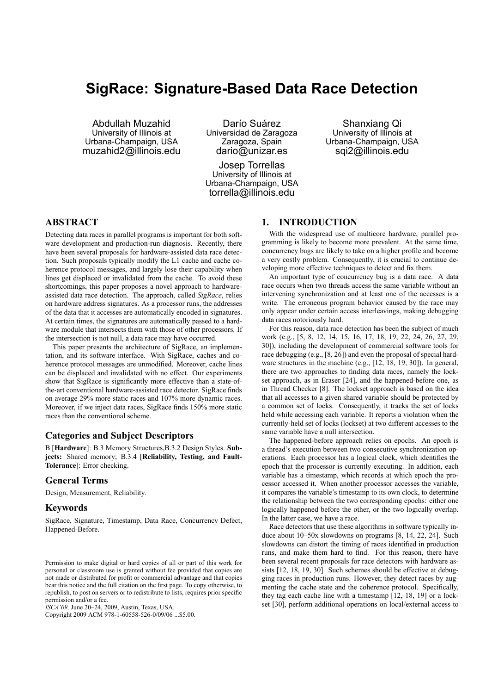# **SigRace: Signature-Based Data Race Detection**

Abdullah Muzahid University of Illinois at Urbana-Champaign, USA muzahid2@illinois.edu

Darío Suárez Universidad de Zaragoza Zaragoza, Spain dario@unizar.es

Josep Torrellas University of Illinois at Urbana-Champaign, USA torrella@illinois.edu

Shanxiang Qi University of Illinois at Urbana-Champaign, USA sqi2@illinois.edu

# **ABSTRACT**

Detecting data races in parallel programs is important for both software development and production-run diagnosis. Recently, there have been several proposals for hardware-assisted data race detection. Such proposals typically modify the L1 cache and cache coherence protocol messages, and largely lose their capability when lines get displaced or invalidated from the cache. To avoid these shortcomings, this paper proposes a novel approach to hardwareassisted data race detection. The approach, called *SigRace*, relies on hardware address signatures. As a processor runs, the addresses of the data that it accesses are automatically encoded in signatures. At certain times, the signatures are automatically passed to a hardware module that intersects them with those of other processors. If the intersection is not null, a data race may have occurred.

This paper presents the architecture of SigRace, an implementation, and its software interface. With SigRace, caches and coherence protocol messages are unmodified. Moreover, cache lines can be displaced and invalidated with no effect. Our experiments show that SigRace is significantly more effective than a state-ofthe-art conventional hardware-assisted race detector. SigRace finds on average 29% more static races and 107% more dynamic races. Moreover, if we inject data races, SigRace finds 150% more static races than the conventional scheme.

# **Categories and Subject Descriptors**

B [**Hardware**]: B.3 Memory Structures,B.3.2 Design Styles. **Subjects:** Shared memory; B.3.4 [**Reliability, Testing, and Fault-Tolerance**]: Error checking.

### **General Terms**

Design, Measurement, Reliability.

### **Keywords**

SigRace, Signature, Timestamp, Data Race, Concurrency Defect, Happened-Before.

Copyright 2009 ACM 978-1-60558-526-0/09/06 ...\$5.00.

# **1. INTRODUCTION**

With the widespread use of multicore hardware, parallel programming is likely to become more prevalent. At the same time, concurrency bugs are likely to take on a higher profile and become a very costly problem. Consequently, it is crucial to continue developing more effective techniques to detect and fix them.

An important type of concurrency bug is a data race. A data race occurs when two threads access the same variable without an intervening synchronization and at least one of the accesses is a write. The erroneous program behavior caused by the race may only appear under certain access interleavings, making debugging data races notoriously hard.

For this reason, data race detection has been the subject of much work (e.g., [5, 8, 12, 14, 15, 16, 17, 18, 19, 22, 24, 26, 27, 29, 30]), including the development of commercial software tools for race debugging (e.g., [8, 26]) and even the proposal of special hardware structures in the machine (e.g., [12, 18, 19, 30]). In general, there are two approaches to finding data races, namely the lockset approach, as in Eraser [24], and the happened-before one, as in Thread Checker [8]. The lockset approach is based on the idea that all accesses to a given shared variable should be protected by a common set of locks. Consequently, it tracks the set of locks held while accessing each variable. It reports a violation when the currently-held set of locks (lockset) at two different accesses to the same variable have a null intersection.

The happened-before approach relies on epochs. An epoch is a thread's execution between two consecutive synchronization operations. Each processor has a logical clock, which identifies the epoch that the processor is currently executing. In addition, each variable has a timestamp, which records at which epoch the processor accessed it. When another processor accesses the variable, it compares the variable's timestamp to its own clock, to determine the relationship between the two corresponding epochs: either one logically happened before the other, or the two logically overlap. In the latter case, we have a race.

Race detectors that use these algorithms in software typically induce about 10–50x slowdowns on programs [8, 14, 22, 24]. Such slowdowns can distort the timing of races identified in production runs, and make them hard to find. For this reason, there have been several recent proposals for race detectors with hardware assists [12, 18, 19, 30]. Such schemes should be effective at debugging races in production runs. However, they detect races by augmenting the cache state and the coherence protocol. Specifically, they tag each cache line with a timestamp [12, 18, 19] or a lockset [30], perform additional operations on local/external access to

Permission to make digital or hard copies of all or part of this work for personal or classroom use is granted without fee provided that copies are not made or distributed for profit or commercial advantage and that copies bear this notice and the full citation on the first page. To copy otherwise, to republish, to post on servers or to redistribute to lists, requires prior specific permission and/or a fee.

*ISCA'09,* June 20–24, 2009, Austin, Texas, USA.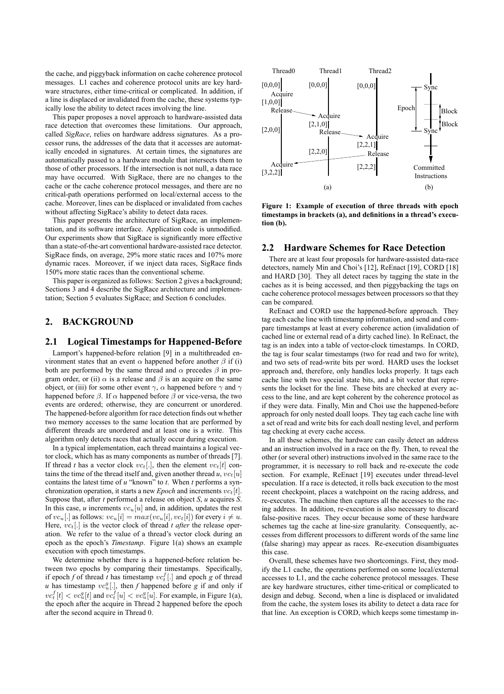the cache, and piggyback information on cache coherence protocol messages. L1 caches and coherence protocol units are key hardware structures, either time-critical or complicated. In addition, if a line is displaced or invalidated from the cache, these systems typically lose the ability to detect races involving the line.

This paper proposes a novel approach to hardware-assisted data race detection that overcomes these limitations. Our approach, called *SigRace*, relies on hardware address signatures. As a processor runs, the addresses of the data that it accesses are automatically encoded in signatures. At certain times, the signatures are automatically passed to a hardware module that intersects them to those of other processors. If the intersection is not null, a data race may have occurred. With SigRace, there are no changes to the cache or the cache coherence protocol messages, and there are no critical-path operations performed on local/external access to the cache. Moreover, lines can be displaced or invalidated from caches without affecting SigRace's ability to detect data races.

This paper presents the architecture of SigRace, an implementation, and its software interface. Application code is unmodified. Our experiments show that SigRace is signicantly more effective than a state-of-the-art conventional hardware-assisted race detector. SigRace finds, on average, 29% more static races and 107% more dynamic races. Moreover, if we inject data races, SigRace finds 150% more static races than the conventional scheme.

This paper is organized as follows: Section 2 gives a background; Sections 3 and 4 describe the SigRace architecture and implementation; Section 5 evaluates SigRace; and Section 6 concludes.

# **2. BACKGROUND**

### **2.1 Logical Timestamps for Happened-Before**

Lamport's happened-before relation [9] in a multithreaded environment states that an event  $\alpha$  happened before another  $\beta$  if (i) both are performed by the same thread and  $\alpha$  precedes  $\beta$  in program order, or (ii)  $\alpha$  is a release and  $\beta$  is an acquire on the same object, or (iii) for some other event  $\gamma$ ,  $\alpha$  happened before  $\gamma$  and  $\gamma$ happened before  $\beta$ . If  $\alpha$  happened before  $\beta$  or vice-versa, the two events are ordered; otherwise, they are concurrent or unordered. The happened-before algorithm for race detection finds out whether two memory accesses to the same location that are performed by different threads are unordered and at least one is a write. This algorithm only detects races that actually occur during execution.

In a typical implementation, each thread maintains a logical vector clock, which has as many components as number of threads [7]. If thread *t* has a vector clock  $vc_t[.]$ , then the element  $vc_t[t]$  contains the time of the thread itself and, given another thread  $u, v c_t[u]$ contains the latest time of *u* "known" to *t*. When *t* performs a synchronization operation, it starts a new *Epoch* and increments  $vc_t[t]$ . Suppose that, after *t* performed a release on object *S*, *u* acquires *S*. In this case,  $u$  increments  $vc_u[u]$  and, in addition, updates the rest of  $vc_u[.]$  as follows:  $vc_u[i] = max(vc_u[i], vc_t[i])$  for every  $i \neq u$ .<br>Here  $vc_s[]$  is the vector clock of thread *t after* the release oper-Here,  $vc_t$ [.] is the vector clock of thread *t after* the release operation. We refer to the value of a thread's vector clock during an epoch as the epoch's *Timestamp*. Figure 1(a) shows an example execution with epoch timestamps.

We determine whether there is a happened-before relation between two epochs by comparing their timestamps. Specifically, if epoch *f* of thread *t* has timestamp  $vc_t^I$  [.] and epoch *g* of thread *u* has timestamp  $vc_s^I$  [.] then *f* hannened before *g* if and only if *u* has timestamp  $vc_q^q[.]$ , then *f* happened before *g* if and only if  $vc_q^f[] \leq \log^q[t]$  and  $\log^f[u] \leq \log^q[u]$ . For example, in Figure 1(a)  $vc_t^I[t] < vc_u^g[t]$  and  $vc_t^I[u] < vc_u^g[u]$ . For example, in Figure 1(a), the epoch after the acquire in Thread 2 hannened before the epoch the epoch after the acquire in Thread 2 happened before the epoch after the second acquire in Thread 0.



**Figure 1: Example of execution of three threads with epoch timestamps in brackets (a), and definitions in a thread's execution (b).**

### **2.2 Hardware Schemes for Race Detection**

There are at least four proposals for hardware-assisted data-race detectors, namely Min and Choi's [12], ReEnact [19], CORD [18] and HARD [30]. They all detect races by tagging the state in the caches as it is being accessed, and then piggybacking the tags on cache coherence protocol messages between processors so that they can be compared.

ReEnact and CORD use the happened-before approach. They tag each cache line with timestamp information, and send and compare timestamps at least at every coherence action (invalidation of cached line or external read of a dirty cached line). In ReEnact, the tag is an index into a table of vector-clock timestamps. In CORD, the tag is four scalar timestamps (two for read and two for write), and two sets of read-write bits per word. HARD uses the lockset approach and, therefore, only handles locks properly. It tags each cache line with two special state bits, and a bit vector that represents the lockset for the line. These bits are checked at every access to the line, and are kept coherent by the coherence protocol as if they were data. Finally, Min and Choi use the happened-before approach for only nested doall loops. They tag each cache line with a set of read and write bits for each doall nesting level, and perform tag checking at every cache access.

In all these schemes, the hardware can easily detect an address and an instruction involved in a race on the fly. Then, to reveal the other (or several other) instructions involved in the same race to the programmer, it is necessary to roll back and re-execute the code section. For example, ReEnact [19] executes under thread-level speculation. If a race is detected, it rolls back execution to the most recent checkpoint, places a watchpoint on the racing address, and re-executes. The machine then captures all the accesses to the racing address. In addition, re-execution is also necessary to discard false-positive races. They occur because some of these hardware schemes tag the cache at line-size granularity. Consequently, accesses from different processors to different words of the same line (false sharing) may appear as races. Re-execution disambiguates this case.

Overall, these schemes have two shortcomings. First, they modify the L1 cache, the operations performed on some local/external accesses to L1, and the cache coherence protocol messages. These are key hardware structures, either time-critical or complicated to design and debug. Second, when a line is displaced or invalidated from the cache, the system loses its ability to detect a data race for that line. An exception is CORD, which keeps some timestamp in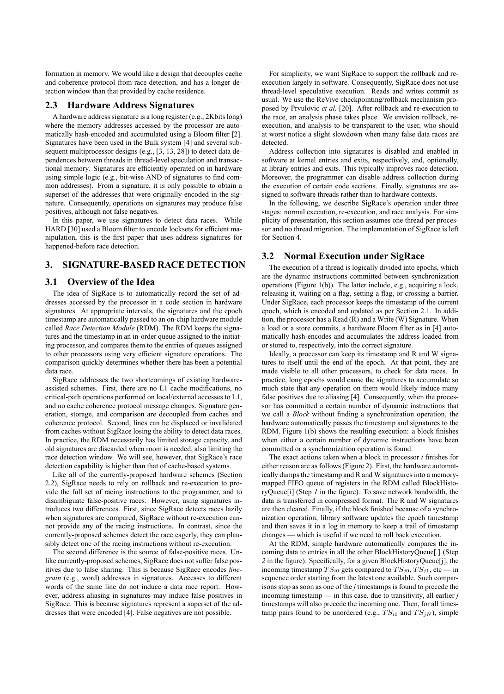formation in memory. We would like a design that decouples cache and coherence protocol from race detection, and has a longer detection window than that provided by cache residence.

### **2.3 Hardware Address Signatures**

A hardware address signature is a long register (e.g., 2Kbits long) where the memory addresses accessed by the processor are automatically hash-encoded and accumulated using a Bloom filter [2]. Signatures have been used in the Bulk system [4] and several subsequent multiprocessor designs (e.g., [3, 13, 28]) to detect data dependences between threads in thread-level speculation and transactional memory. Signatures are efficiently operated on in hardware using simple logic (e.g., bit-wise AND of signatures to find common addresses). From a signature, it is only possible to obtain a superset of the addresses that were originally encoded in the signature. Consequently, operations on signatures may produce false positives, although not false negatives.

In this paper, we use signatures to detect data races. While HARD [30] used a Bloom filter to encode locksets for efficient manipulation, this is the first paper that uses address signatures for happened-before race detection.

# **3. SIGNATURE-BASED RACE DETECTION**

### **3.1 Overview of the Idea**

The idea of SigRace is to automatically record the set of addresses accessed by the processor in a code section in hardware signatures. At appropriate intervals, the signatures and the epoch timestamp are automatically passed to an on-chip hardware module called *Race Detection Module* (RDM). The RDM keeps the signatures and the timestamp in an in-order queue assigned to the initiating processor, and compares them to the entries of queues assigned to other processors using very efficient signature operations. The comparison quickly determines whether there has been a potential data race.

SigRace addresses the two shortcomings of existing hardwareassisted schemes. First, there are no L1 cache modifications, no critical-path operations performed on local/external accesses to L1, and no cache coherence protocol message changes. Signature generation, storage, and comparison are decoupled from caches and coherence protocol. Second, lines can be displaced or invalidated from caches without SigRace losing the ability to detect data races. In practice, the RDM necessarily has limited storage capacity, and old signatures are discarded when room is needed, also limiting the race detection window. We will see, however, that SigRace's race detection capability is higher than that of cache-based systems.

Like all of the currently-proposed hardware schemes (Section 2.2), SigRace needs to rely on rollback and re-execution to provide the full set of racing instructions to the programmer, and to disambiguate false-positive races. However, using signatures introduces two differences. First, since SigRace detects races lazily when signatures are compared, SigRace without re-execution cannot provide any of the racing instructions. In contrast, since the currently-proposed schemes detect the race eagerly, they can plausibly detect one of the racing instructions without re-execution.

The second difference is the source of false-positive races. Unlike currently-proposed schemes, SigRace does not suffer false positives due to false sharing. This is because SigRace encodes *finegrain* (e.g., word) addresses in signatures. Accesses to different words of the same line do not induce a data race report. However, address aliasing in signatures may induce false positives in SigRace. This is because signatures represent a superset of the addresses that were encoded [4]. False negatives are not possible.

For simplicity, we want SigRace to support the rollback and reexecution largely in software. Consequently, SigRace does not use thread-level speculative execution. Reads and writes commit as usual. We use the ReVive checkpointing/rollback mechanism proposed by Prvulovic *et al.* [20]. After rollback and re-execution to the race, an analysis phase takes place. We envision rollback, reexecution, and analysis to be transparent to the user, who should at worst notice a slight slowdown when many false data races are detected.

Address collection into signatures is disabled and enabled in software at kernel entries and exits, respectively, and, optionally, at library entries and exits. This typically improves race detection. Moreover, the programmer can disable address collection during the execution of certain code sections. Finally, signatures are assigned to software threads rather than to hardware contexts.

In the following, we describe SigRace's operation under three stages: normal execution, re-execution, and race analysis. For simplicity of presentation, this section assumes one thread per processor and no thread migration. The implementation of SigRace is left for Section 4.

# **3.2 Normal Execution under SigRace**

The execution of a thread is logically divided into epochs, which are the dynamic instructions committed between synchronization operations (Figure 1(b)). The latter include, e.g., acquiring a lock, releasing it, waiting on a flag, setting a flag, or crossing a barrier. Under SigRace, each processor keeps the timestamp of the current epoch, which is encoded and updated as per Section 2.1. In addition, the processor has a Read (R) and a Write (W) Signature. When a load or a store commits, a hardware Bloom filter as in [4] automatically hash-encodes and accumulates the address loaded from or stored to, respectively, into the correct signature.

Ideally, a processor can keep its timestamp and R and W signatures to itself until the end of the epoch. At that point, they are made visible to all other processors, to check for data races. In practice, long epochs would cause the signatures to accumulate so much state that any operation on them would likely induce many false positives due to aliasing [4]. Consequently, when the processor has committed a certain number of dynamic instructions that we call a *Block* without finding a synchronization operation, the hardware automatically passes the timestamp and signatures to the RDM. Figure  $1(b)$  shows the resulting execution: a block finishes when either a certain number of dynamic instructions have been committed or a synchronization operation is found.

The exact actions taken when a block in processor  $i$  finishes for either reason are as follows (Figure 2). First, the hardware automatically dumps the timestamp and R and W signatures into a memorymapped FIFO queue of registers in the RDM called BlockHistoryQueue[i] (Step *1* in the figure). To save network bandwidth, the data is transferred in compressed format. The R and W signatures are then cleared. Finally, if the block finished because of a synchronization operation, library software updates the epoch timestamp and then saves it in a log in memory to keep a trail of timestamp changes — which is useful if we need to roll back execution.

At the RDM, simple hardware automatically compares the incoming data to entries in all the other BlockHistoryQueue[.] (Step 2 in the figure). Specifically, for a given BlockHistoryQueue[j], the incoming timestamp  $TS_{i0}$  gets compared to  $TS_{i0}$ ,  $TS_{i1}$ , etc — in sequence order starting from the latest one available. Such comparisons stop as soon as one of the *j* timestamps is found to precede the incoming timestamp — in this case, due to transitivity, all earlier *j* timestamps will also precede the incoming one. Then, for all timestamp pairs found to be unordered (e.g.,  $TS_{i0}$  and  $TS_{jN}$ ), simple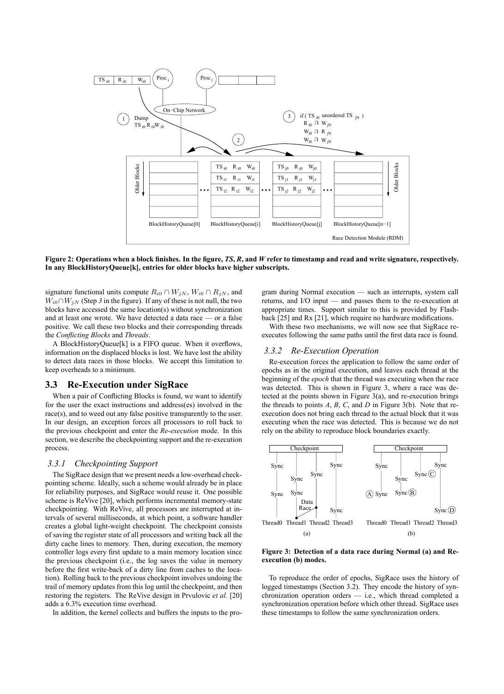

**Figure 2: Operations when a block finishes. In the figure,** *TS***,** *R***, and** *W* **refer to timestamp and read and write signature, respectively. In any BlockHistoryQueue[k], entries for older blocks have higher subscripts.**

signature functional units compute  $R_{i0} \cap W_{jN}$ ,  $W_{i0} \cap R_{jN}$ , and  $W_{i0} \cap W_{jN}$  (Step 3 in the figure). If any of these is not null, the two blocks have accessed the same location(s) without synchronization and at least one wrote. We have detected a data race — or a false positive. We call these two blocks and their corresponding threads the *Conflicting Blocks* and *Threads*.

A BlockHistoryQueue[k] is a FIFO queue. When it overflows, information on the displaced blocks is lost. We have lost the ability to detect data races in those blocks. We accept this limitation to keep overheads to a minimum.

### **3.3 Re-Execution under SigRace**

When a pair of Conflicting Blocks is found, we want to identify for the user the exact instructions and address(es) involved in the race(s), and to weed out any false positive transparently to the user. In our design, an exception forces all processors to roll back to the previous checkpoint and enter the *Re-execution* mode. In this section, we describe the checkpointing support and the re-execution process.

### *3.3.1 Checkpointing Support*

The SigRace design that we present needs a low-overhead checkpointing scheme. Ideally, such a scheme would already be in place for reliability purposes, and SigRace would reuse it. One possible scheme is ReVive [20], which performs incremental memory-state checkpointing. With ReVive, all processors are interrupted at intervals of several milliseconds, at which point, a software handler creates a global light-weight checkpoint. The checkpoint consists of saving the register state of all processors and writing back all the dirty cache lines to memory. Then, during execution, the memory controller logs every first update to a main memory location since the previous checkpoint (i.e., the log saves the value in memory before the first write-back of a dirty line from caches to the location). Rolling back to the previous checkpoint involves undoing the trail of memory updates from this log until the checkpoint, and then restoring the registers. The ReVive design in Prvulovic *et al.* [20] adds a 6.3% execution time overhead.

In addition, the kernel collects and buffers the inputs to the pro-

gram during Normal execution — such as interrupts, system call returns, and I/O input — and passes them to the re-execution at appropriate times. Support similar to this is provided by Flashback  $[25]$  and Rx  $[21]$ , which require no hardware modifications.

With these two mechanisms, we will now see that SigRace reexecutes following the same paths until the first data race is found.

#### *3.3.2 Re-Execution Operation*

Re-execution forces the application to follow the same order of epochs as in the original execution, and leaves each thread at the beginning of the *epoch* that the thread was executing when the race was detected. This is shown in Figure 3, where a race was detected at the points shown in Figure  $3(a)$ , and re-execution brings the threads to points *A*, *B*, *C*, and *D* in Figure 3(b). Note that reexecution does not bring each thread to the actual block that it was executing when the race was detected. This is because we do not rely on the ability to reproduce block boundaries exactly.



**Figure 3: Detection of a data race during Normal (a) and Reexecution (b) modes.**

To reproduce the order of epochs, SigRace uses the history of logged timestamps (Section 3.2). They encode the history of synchronization operation orders — i.e., which thread completed a synchronization operation before which other thread. SigRace uses these timestamps to follow the same synchronization orders.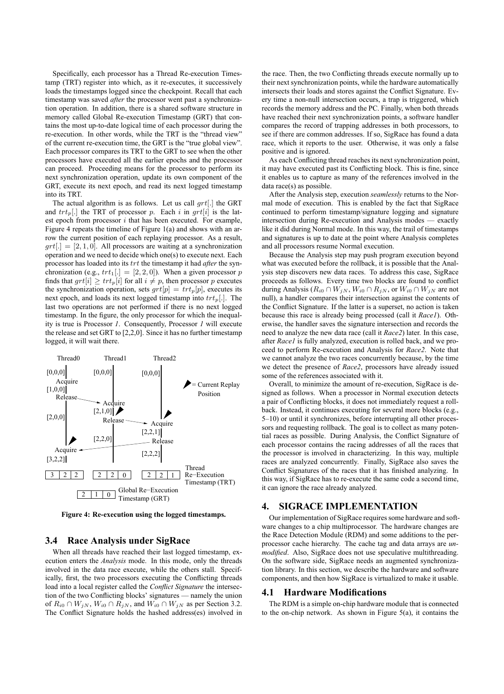Specifically, each processor has a Thread Re-execution Timestamp (TRT) register into which, as it re-executes, it successively loads the timestamps logged since the checkpoint. Recall that each timestamp was saved *after* the processor went past a synchronization operation. In addition, there is a shared software structure in memory called Global Re-execution Timestamp (GRT) that contains the most up-to-date logical time of each processor during the re-execution. In other words, while the TRT is the "thread view" of the current re-execution time, the GRT is the "true global view". Each processor compares its TRT to the GRT to see when the other processors have executed all the earlier epochs and the processor can proceed. Proceeding means for the processor to perform its next synchronization operation, update its own component of the GRT, execute its next epoch, and read its next logged timestamp into its TRT.

The actual algorithm is as follows. Let us call  $qrt[.]$  the GRT and  $trt_p$ [.] the TRT of processor p. Each i in grt[i] is the latest epoch from processor  $i$  that has been executed. For example, Figure 4 repeats the timeline of Figure 1(a) and shows with an arrow the current position of each replaying processor. As a result,  $grt[.] = [2, 1, 0]$ . All processors are waiting at a synchronization operation and we need to decide which one(s) to execute next. Each processor has loaded into its trt the timestamp it had *after* the synchronization (e.g.,  $trt_1$ [.] = [2, 2, 0]). When a given processor p finds that  $grt[i] \geq trt_p[i]$  for all  $i \neq p$ , then processor p executes the synchronization operation sets  $grt[n] = trt_p[n]$  executes its the synchronization operation, sets  $grt[p] = trt_p[p]$ , executes its next epoch, and loads its next logged timestamp into  $trt_p$ . The last two operations are not performed if there is no next logged timestamp. In the figure, the only processor for which the inequality is true is Processor *1*. Consequently, Processor *1* will execute the release and set GRT to [2,2,0]. Since it has no further timestamp logged, it will wait there.



**Figure 4: Re-execution using the logged timestamps.**

# **3.4 Race Analysis under SigRace**

When all threads have reached their last logged timestamp, execution enters the *Analysis* mode. In this mode, only the threads involved in the data race execute, while the others stall. Specifically, first, the two processors executing the Conflicting threads load into a local register called the *Conflict Signature* the intersection of the two Conflicting blocks' signatures — namely the union of  $R_{i0} \cap W_{jN}$ ,  $W_{i0} \cap R_{jN}$ , and  $W_{i0} \cap W_{jN}$  as per Section 3.2. The Conflict Signature holds the hashed address(es) involved in the race. Then, the two Conflicting threads execute normally up to their next synchronization points, while the hardware automatically intersects their loads and stores against the Conflict Signature. Every time a non-null intersection occurs, a trap is triggered, which records the memory address and the PC. Finally, when both threads have reached their next synchronization points, a software handler compares the record of trapping addresses in both processors, to see if there are common addresses. If so, SigRace has found a data race, which it reports to the user. Otherwise, it was only a false positive and is ignored.

As each Conflicting thread reaches its next synchronization point, it may have executed past its Conflicting block. This is fine, since it enables us to capture as many of the references involved in the data race(s) as possible.

After the Analysis step, execution *seamlessly* returns to the Normal mode of execution. This is enabled by the fact that SigRace continued to perform timestamp/signature logging and signature intersection during Re-execution and Analysis modes — exactly like it did during Normal mode. In this way, the trail of timestamps and signatures is up to date at the point where Analysis completes and all processors resume Normal execution.

Because the Analysis step may push program execution beyond what was executed before the rollback, it is possible that the Analysis step discovers new data races. To address this case, SigRace proceeds as follows. Every time two blocks are found to conflict during Analysis ( $R_{i0} \cap W_{jN}$ ,  $W_{i0} \cap R_{jN}$ , or  $W_{i0} \cap W_{jN}$  are not null), a handler compares their intersection against the contents of the Conflict Signature. If the latter is a superset, no action is taken because this race is already being processed (call it *Race1*). Otherwise, the handler saves the signature intersection and records the need to analyze the new data race (call it *Race2*) later. In this case, after *Race1* is fully analyzed, execution is rolled back, and we proceed to perform Re-execution and Analysis for *Race2*. Note that we cannot analyze the two races concurrently because, by the time we detect the presence of *Race2*, processors have already issued some of the references associated with it.

Overall, to minimize the amount of re-execution, SigRace is designed as follows. When a processor in Normal execution detects a pair of Conflicting blocks, it does not immediately request a rollback. Instead, it continues executing for several more blocks (e.g., 5–10) or until it synchronizes, before interrupting all other processors and requesting rollback. The goal is to collect as many potential races as possible. During Analysis, the Conflict Signature of each processor contains the racing addresses of all the races that the processor is involved in characterizing. In this way, multiple races are analyzed concurrently. Finally, SigRace also saves the Conflict Signatures of the races that it has finished analyzing. In this way, if SigRace has to re-execute the same code a second time, it can ignore the race already analyzed.

### **4. SIGRACE IMPLEMENTATION**

Our implementation of SigRace requires some hardware and software changes to a chip multiprocessor. The hardware changes are the Race Detection Module (RDM) and some additions to the perprocessor cache hierarchy. The cache tag and data arrays are *unmodified*. Also, SigRace does not use speculative multithreading. On the software side, SigRace needs an augmented synchronization library. In this section, we describe the hardware and software components, and then how SigRace is virtualized to make it usable.

#### **4.1 Hardware Modifications**

The RDM is a simple on-chip hardware module that is connected to the on-chip network. As shown in Figure 5(a), it contains the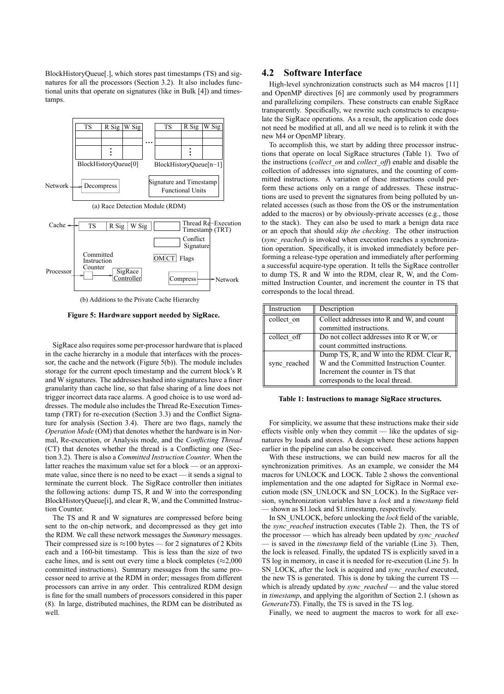BlockHistoryQueue[.], which stores past timestamps (TS) and signatures for all the processors (Section 3.2). It also includes functional units that operate on signatures (like in Bulk [4]) and timestamps.



(b) Additions to the Private Cache Hierarchy

**Figure 5: Hardware support needed by SigRace.**

SigRace also requires some per-processor hardware that is placed in the cache hierarchy in a module that interfaces with the processor, the cache and the network (Figure 5(b)). The module includes storage for the current epoch timestamp and the current block's R and W signatures. The addresses hashed into signatures have a finer granularity than cache line, so that false sharing of a line does not trigger incorrect data race alarms. A good choice is to use word addresses. The module also includes the Thread Re-Execution Timestamp (TRT) for re-execution (Section 3.3) and the Conflict Signature for analysis (Section 3.4). There are two flags, namely the *Operation Mode* (OM) that denotes whether the hardware is in Normal, Re-execution, or Analysis mode, and the *Conflicting Thread* (CT) that denotes whether the thread is a Conflicting one (Section 3.2). There is also a *Committed Instruction Counter*. When the latter reaches the maximum value set for a block — or an approximate value, since there is no need to be exact — it sends a signal to terminate the current block. The SigRace controller then initiates the following actions: dump TS, R and W into the corresponding BlockHistoryQueue[i], and clear R, W, and the Committed Instruction Counter.

The TS and R and W signatures are compressed before being sent to the on-chip network, and decompressed as they get into the RDM. We call these network messages the *Summary* messages. Their compressed size is  $\approx$ 100 bytes — for 2 signatures of 2 Kbits each and a 160-bit timestamp. This is less than the size of two cache lines, and is sent out every time a block completes ( $\approx$ 2,000 committed instructions). Summary messages from the same processor need to arrive at the RDM in order; messages from different processors can arrive in any order. This centralized RDM design is fine for the small numbers of processors considered in this paper (8). In large, distributed machines, the RDM can be distributed as well.

### **4.2 Software Interface**

High-level synchronization constructs such as M4 macros [11] and OpenMP directives [6] are commonly used by programmers and parallelizing compilers. These constructs can enable SigRace transparently. Specifically, we rewrite such constructs to encapsulate the SigRace operations. As a result, the application code does not need be modified at all, and all we need is to relink it with the new M4 or OpenMP library.

To accomplish this, we start by adding three processor instructions that operate on local SigRace structures (Table 1). Two of the instructions (*collect\_on* and *collect\_off*) enable and disable the collection of addresses into signatures, and the counting of committed instructions. A variation of these instructions could perform these actions only on a range of addresses. These instructions are used to prevent the signatures from being polluted by unrelated accesses (such as those from the OS or the instrumentation added to the macros) or by obviously-private accesses (e.g., those to the stack). They can also be used to mark a benign data race or an epoch that should *skip the checking*. The other instruction (*sync\_reached*) is invoked when execution reaches a synchronization operation. Specifically, it is invoked immediately before performing a release-type operation and immediately after performing a successful acquire-type operation. It tells the SigRace controller to dump TS, R and W into the RDM, clear R, W, and the Committed Instruction Counter, and increment the counter in TS that corresponds to the local thread.

| Instruction  | Description                                                                                                                                                  |
|--------------|--------------------------------------------------------------------------------------------------------------------------------------------------------------|
| collect on   | Collect addresses into R and W, and count<br>committed instructions.                                                                                         |
| collect off  | Do not collect addresses into R or W, or<br>count committed instructions.                                                                                    |
| sync reached | Dump TS, R, and W into the RDM. Clear R,<br>W and the Committed Instruction Counter.<br>Increment the counter in TS that<br>corresponds to the local thread. |

#### **Table 1: Instructions to manage SigRace structures.**

For simplicity, we assume that these instructions make their side effects visible only when they commit — like the updates of signatures by loads and stores. A design where these actions happen earlier in the pipeline can also be conceived.

With these instructions, we can build new macros for all the synchronization primitives. As an example, we consider the M4 macros for UNLOCK and LOCK. Table 2 shows the conventional implementation and the one adapted for SigRace in Normal execution mode (SN\_UNLOCK and SN\_LOCK). In the SigRace version, synchronization variables have a *lock* and a *timestamp* field — shown as \$1.lock and \$1.timestamp, respectively.

In SN\_UNLOCK, before unlocking the *lock* field of the variable, the *sync\_reached* instruction executes (Table 2). Then, the TS of the processor — which has already been updated by *sync\_reached* — is saved in the *timestamp* field of the variable (Line 3). Then, the lock is released. Finally, the updated TS is explicitly saved in a TS log in memory, in case it is needed for re-execution (Line 5). In SN\_LOCK, after the lock is acquired and *sync\_reached* executed, the new TS is generated. This is done by taking the current TS which is already updated by *sync\_reached* — and the value stored in *timestamp*, and applying the algorithm of Section 2.1 (shown as *GenerateTS*). Finally, the TS is saved in the TS log.

Finally, we need to augment the macros to work for all exe-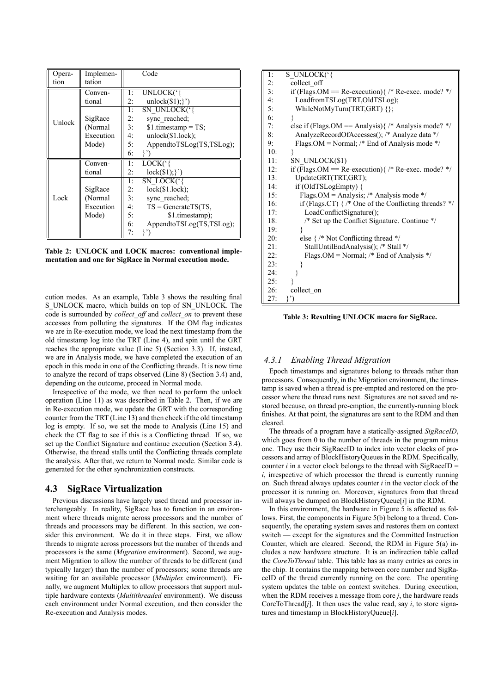| Opera- | Implemen- |    | Code                             |
|--------|-----------|----|----------------------------------|
| tion   | tation    |    |                                  |
|        | Conven-   | 1: | UNLOCK('{                        |
|        | tional    | 2: | unlock $(\$1);\}'$               |
|        |           | 1: | <b>SN UNLOCK</b> <sup>(1</sup> } |
| Unlock | SigRace   | 2: | sync reached;                    |
|        | (Normal   | 3: | $$1. timestamp = TS;$            |
|        | Execution | 4: | unlock(\$1.lock);                |
|        | Mode)     | 5: | AppendtoTSLog(TS,TSLog);         |
|        |           | 6: | $\{2\}$                          |
| Lock   | Conven-   | 1: | $LOCK$ ('{                       |
|        | tional    | 2: | $lock($ \$1); }')                |
|        |           | 1: | SN LOCK('{                       |
|        | SigRace   | 2: | $lock(\$1.lock);$                |
|        | (Normal   | 3: | sync reached;                    |
|        | Execution | 4: | $TS = GenerateTS(TS,$            |
|        | Mode)     | 5: | \$1.timestamp);                  |
|        |           | 6: | AppendtoTSLog(TS,TSLog);         |
|        |           | 7: | }?)                              |

**Table 2: UNLOCK and LOCK macros: conventional implementation and one for SigRace in Normal execution mode.**

cution modes. As an example, Table 3 shows the resulting final S\_UNLOCK macro, which builds on top of SN\_UNLOCK. The code is surrounded by *collect\_off* and *collect\_on* to prevent these accesses from polluting the signatures. If the OM flag indicates we are in Re-execution mode, we load the next timestamp from the old timestamp log into the TRT (Line 4), and spin until the GRT reaches the appropriate value (Line 5) (Section 3.3). If, instead, we are in Analysis mode, we have completed the execution of an epoch in this mode in one of the Conflicting threads. It is now time to analyze the record of traps observed (Line 8) (Section 3.4) and, depending on the outcome, proceed in Normal mode.

Irrespective of the mode, we then need to perform the unlock operation (Line 11) as was described in Table 2. Then, if we are in Re-execution mode, we update the GRT with the corresponding counter from the TRT (Line 13) and then check if the old timestamp log is empty. If so, we set the mode to Analysis (Line 15) and check the CT flag to see if this is a Conflicting thread. If so, we set up the Conflict Signature and continue execution (Section 3.4). Otherwise, the thread stalls until the Conflicting threads complete the analysis. After that, we return to Normal mode. Similar code is generated for the other synchronization constructs.

### **4.3 SigRace Virtualization**

Previous discussions have largely used thread and processor interchangeably. In reality, SigRace has to function in an environment where threads migrate across processors and the number of threads and processors may be different. In this section, we consider this environment. We do it in three steps. First, we allow threads to migrate across processors but the number of threads and processors is the same (*Migration* environment). Second, we augment Migration to allow the number of threads to be different (and typically larger) than the number of processors; some threads are waiting for an available processor (*Multiplex* environment). Finally, we augment Multiplex to allow processors that support multiple hardware contexts (*Multithreaded* environment). We discuss each environment under Normal execution, and then consider the Re-execution and Analysis modes.

| 1:  | S UNLOCK('{                                                   |
|-----|---------------------------------------------------------------|
| 2:  | collect off                                                   |
| 3:  | if (Flags.OM = Re-execution) { /* Re-exec. mode? */           |
| 4:  | LoadfromTSLog(TRT,OldTSLog);                                  |
| 5:  | WhileNotMyTurn(TRT,GRT) {};                                   |
| 6:  | ₹                                                             |
| 7:  | else if (Flags.OM = Analysis) $\frac{7}{7}$ Analysis mode? */ |
| 8:  | AnalyzeRecordOfAccesses(); /* Analyze data */                 |
| 9:  | Flags.OM = Normal; /* End of Analysis mode */                 |
| 10: |                                                               |
| 11: | SN UNLOCK(\$1)                                                |
| 12: | if (Flags.OM = Re-execution) { /* Re-exec. mode? */           |
| 13: | UpdateGRT(TRT,GRT);                                           |
| 14: | if (OldTSLogEmpty) {                                          |
| 15: | Flags.OM = Analysis; /* Analysis mode */                      |
| 16: | if (Flags.CT) $\}$ /* One of the Conflicting threads? */      |
| 17: | LoadConflictSignature();                                      |
| 18: | /* Set up the Conflict Signature. Continue */                 |
| 19: |                                                               |
| 20: | else $\frac{1}{2}$ Not Conflicting thread */                  |
| 21: | StallUntilEndAnalysis(); /* Stall */                          |
| 22: | Flags. OM = Normal; $/*$ End of Analysis $*/$                 |
| 23: |                                                               |
| 24: |                                                               |
| 25: |                                                               |
| 26: | collect on                                                    |
| 27: | }')                                                           |

**Table 3: Resulting UNLOCK macro for SigRace.**

# *4.3.1 Enabling Thread Migration*

Epoch timestamps and signatures belong to threads rather than processors. Consequently, in the Migration environment, the timestamp is saved when a thread is pre-empted and restored on the processor where the thread runs next. Signatures are not saved and restored because, on thread pre-emption, the currently-running block finishes. At that point, the signatures are sent to the RDM and then cleared.

The threads of a program have a statically-assigned *SigRaceID*, which goes from 0 to the number of threads in the program minus one. They use their SigRaceID to index into vector clocks of processors and array of BlockHistoryQueues in the RDM. Specifically, counter  $i$  in a vector clock belongs to the thread with SigRaceID = *i*, irrespective of which processor the thread is currently running on. Such thread always updates counter *i* in the vector clock of the processor it is running on. Moreover, signatures from that thread will always be dumped on BlockHistoryQueue[*i*] in the RDM.

In this environment, the hardware in Figure 5 is affected as follows. First, the components in Figure 5(b) belong to a thread. Consequently, the operating system saves and restores them on context switch — except for the signatures and the Committed Instruction Counter, which are cleared. Second, the RDM in Figure 5(a) includes a new hardware structure. It is an indirection table called the *CoreToThread* table. This table has as many entries as cores in the chip. It contains the mapping between core number and SigRaceID of the thread currently running on the core. The operating system updates the table on context switches. During execution, when the RDM receives a message from core *j*, the hardware reads CoreToThread[ $j$ ]. It then uses the value read, say  $i$ , to store signatures and timestamp in BlockHistoryQueue[*i*].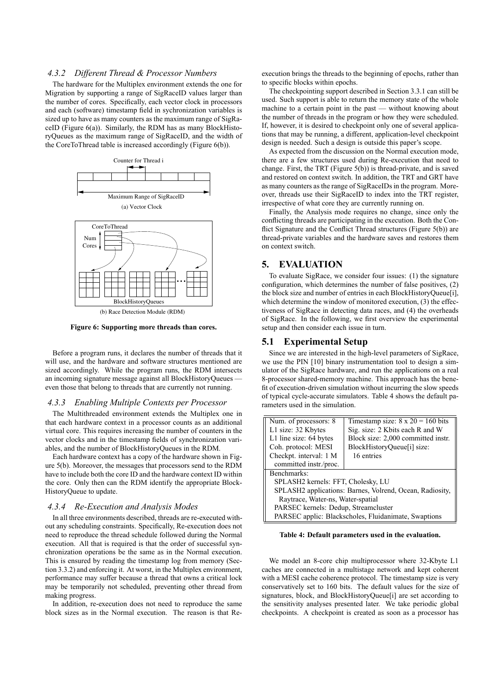### *4.3.2 Different Thread & Processor Numbers*

The hardware for the Multiplex environment extends the one for Migration by supporting a range of SigRaceID values larger than the number of cores. Specifically, each vector clock in processors and each (software) timestamp field in sychronization variables is sized up to have as many counters as the maximum range of SigRaceID (Figure 6(a)). Similarly, the RDM has as many BlockHistoryQueues as the maximum range of SigRaceID, and the width of the CoreToThread table is increased accordingly (Figure 6(b)).



**Figure 6: Supporting more threads than cores.**

Before a program runs, it declares the number of threads that it will use, and the hardware and software structures mentioned are sized accordingly. While the program runs, the RDM intersects an incoming signature message against all BlockHistoryQueues even those that belong to threads that are currently not running.

#### *4.3.3 Enabling Multiple Contexts per Processor*

The Multithreaded environment extends the Multiplex one in that each hardware context in a processor counts as an additional virtual core. This requires increasing the number of counters in the vector clocks and in the timestamp fields of synchronization variables, and the number of BlockHistoryQueues in the RDM.

Each hardware context has a copy of the hardware shown in Figure 5(b). Moreover, the messages that processors send to the RDM have to include both the core ID and the hardware context ID within the core. Only then can the RDM identify the appropriate Block-HistoryQueue to update.

### *4.3.4 Re-Execution and Analysis Modes*

In all three environments described, threads are re-executed without any scheduling constraints. Specifically, Re-execution does not need to reproduce the thread schedule followed during the Normal execution. All that is required is that the order of successful synchronization operations be the same as in the Normal execution. This is ensured by reading the timestamp log from memory (Section 3.3.2) and enforcing it. At worst, in the Multiplex environment, performance may suffer because a thread that owns a critical lock may be temporarily not scheduled, preventing other thread from making progress.

In addition, re-execution does not need to reproduce the same block sizes as in the Normal execution. The reason is that Reexecution brings the threads to the beginning of epochs, rather than to specific blocks within epochs.

The checkpointing support described in Section 3.3.1 can still be used. Such support is able to return the memory state of the whole machine to a certain point in the past — without knowing about the number of threads in the program or how they were scheduled. If, however, it is desired to checkpoint only one of several applications that may be running, a different, application-level checkpoint design is needed. Such a design is outside this paper's scope.

As expected from the discussion on the Normal execution mode, there are a few structures used during Re-execution that need to change. First, the TRT (Figure 5(b)) is thread-private, and is saved and restored on context switch. In addition, the TRT and GRT have as many counters as the range of SigRaceIDs in the program. Moreover, threads use their SigRaceID to index into the TRT register, irrespective of what core they are currently running on.

Finally, the Analysis mode requires no change, since only the conflicting threads are participating in the execution. Both the Conflict Signature and the Conflict Thread structures (Figure  $5(b)$ ) are thread-private variables and the hardware saves and restores them on context switch.

# **5. EVALUATION**

To evaluate SigRace, we consider four issues: (1) the signature configuration, which determines the number of false positives,  $(2)$ the block size and number of entries in each BlockHistoryQueue[i], which determine the window of monitored execution, (3) the effectiveness of SigRace in detecting data races, and (4) the overheads of SigRace. In the following, we first overview the experimental setup and then consider each issue in turn.

### **5.1 Experimental Setup**

Since we are interested in the high-level parameters of SigRace, we use the PIN [10] binary instrumentation tool to design a simulator of the SigRace hardware, and run the applications on a real 8-processor shared-memory machine. This approach has the bene fit of execution-driven simulation without incurring the slow speeds of typical cycle-accurate simulators. Table 4 shows the default parameters used in the simulation.

| Num. of processors: 8                                    | Timestamp size: $8 \times 20 = 160$ bits |  |  |  |  |  |
|----------------------------------------------------------|------------------------------------------|--|--|--|--|--|
| L1 size: 32 Kbytes                                       | Sig. size: 2 Kbits each R and W          |  |  |  |  |  |
| L1 line size: 64 bytes                                   | Block size: 2,000 committed instr.       |  |  |  |  |  |
| Coh. protocol: MESI                                      | BlockHistoryQueue[i] size:               |  |  |  |  |  |
| Checkpt. interval: 1 M                                   | 16 entries                               |  |  |  |  |  |
| committed instr./proc.                                   |                                          |  |  |  |  |  |
| Benchmarks:                                              |                                          |  |  |  |  |  |
| SPLASH2 kernels: FFT, Cholesky, LU                       |                                          |  |  |  |  |  |
| SPLASH2 applications: Barnes, Volrend, Ocean, Radiosity, |                                          |  |  |  |  |  |
| Raytrace, Water-ns, Water-spatial                        |                                          |  |  |  |  |  |
| PARSEC kernels: Dedup, Streamcluster                     |                                          |  |  |  |  |  |
| PARSEC applic: Blackscholes, Fluidanimate, Swaptions     |                                          |  |  |  |  |  |

#### **Table 4: Default parameters used in the evaluation.**

We model an 8-core chip multiprocessor where 32-Kbyte L1 caches are connected in a multistage network and kept coherent with a MESI cache coherence protocol. The timestamp size is very conservatively set to 160 bits. The default values for the size of signatures, block, and BlockHistoryQueue[i] are set according to the sensitivity analyses presented later. We take periodic global checkpoints. A checkpoint is created as soon as a processor has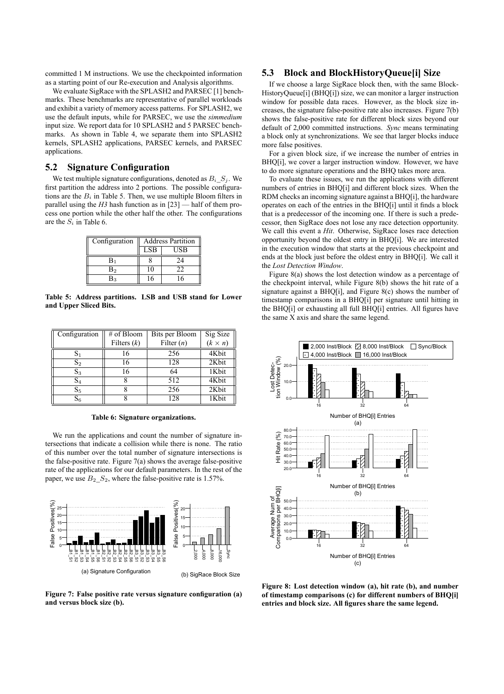committed 1 M instructions. We use the checkpointed information as a starting point of our Re-execution and Analysis algorithms.

We evaluate SigRace with the SPLASH2 and PARSEC [1] benchmarks. These benchmarks are representative of parallel workloads and exhibit a variety of memory access patterns. For SPLASH2, we use the default inputs, while for PARSEC, we use the *simmedium* input size. We report data for 10 SPLASH2 and 5 PARSEC benchmarks. As shown in Table 4, we separate them into SPLASH2 kernels, SPLASH2 applications, PARSEC kernels, and PARSEC applications.

# **5.2 Signature Configuration**

We test multiple signature configurations, denoted as  $B_i$   $S_j$ . We first partition the address into 2 portions. The possible configurations are the  $B_i$  in Table 5. Then, we use multiple Bloom filters in parallel using the *H3* hash function as in [23] — half of them process one portion while the other half the other. The configurations are the  $S_i$  in Table 6.

| Configuration |     | <b>Address Partition</b> |
|---------------|-----|--------------------------|
|               | LSB | USB                      |
| $B_1$         |     | 24                       |
| B2            | 10  | I I                      |
| Вą            | 16  |                          |

**Table 5: Address partitions. LSB and USB stand for Lower and Upper Sliced Bits.**

| Configuration  | # of Bloom    | Bits per Bloom | Sig Size<br>$(k \times n)$ |
|----------------|---------------|----------------|----------------------------|
|                | Filters $(k)$ | Filter $(n)$   |                            |
| $\mathrm{S}_1$ | 16            | 256            | 4Kbit                      |
| $S_2$          | 16            | 128            | 2Kbit                      |
| $S_3$          | 16            | 64             | 1Kbit                      |
| $S_4$          |               | 512            | 4Kbit                      |
| S <sub>5</sub> |               | 256            | 2Kbit                      |
| $\mathrm{S}_6$ |               | 128            | 1Kbit                      |

**Table 6: Signature organizations.**

We run the applications and count the number of signature intersections that indicate a collision while there is none. The ratio of this number over the total number of signature intersections is the false-positive rate. Figure  $7(a)$  shows the average false-positive rate of the applications for our default parameters. In the rest of the paper, we use  $B_2\_S_2$ , where the false-positive rate is 1.57%.



**Figure 7: False positive rate versus signature configuration (a) and versus block size (b).**

### **5.3 Block and BlockHistoryQueue[i] Size**

If we choose a large SigRace block then, with the same Block-HistoryQueue[i] (BHQ[i]) size, we can monitor a larger instruction window for possible data races. However, as the block size increases, the signature false-positive rate also increases. Figure 7(b) shows the false-positive rate for different block sizes beyond our default of 2,000 committed instructions. *Sync* means terminating a block only at synchronizations. We see that larger blocks induce more false positives.

For a given block size, if we increase the number of entries in BHQ[i], we cover a larger instruction window. However, we have to do more signature operations and the BHQ takes more area.

To evaluate these issues, we run the applications with different numbers of entries in BHQ[i] and different block sizes. When the RDM checks an incoming signature against a BHQ[i], the hardware operates on each of the entries in the BHQ[i] until it finds a block that is a predecessor of the incoming one. If there is such a predecessor, then SigRace does not lose any race detection opportunity. We call this event a *Hit*. Otherwise, SigRace loses race detection opportunity beyond the oldest entry in BHQ[i]. We are interested in the execution window that starts at the previous checkpoint and ends at the block just before the oldest entry in BHQ[i]. We call it the *Lost Detection Window*.

Figure 8(a) shows the lost detection window as a percentage of the checkpoint interval, while Figure 8(b) shows the hit rate of a signature against a BHQ[i], and Figure 8(c) shows the number of timestamp comparisons in a BHQ[i] per signature until hitting in the BHQ[i] or exhausting all full BHQ[i] entries. All figures have the same X axis and share the same legend.



**Figure 8: Lost detection window (a), hit rate (b), and number of timestamp comparisons (c) for different numbers of BHQ[i] entries and block size. All figures share the same legend.**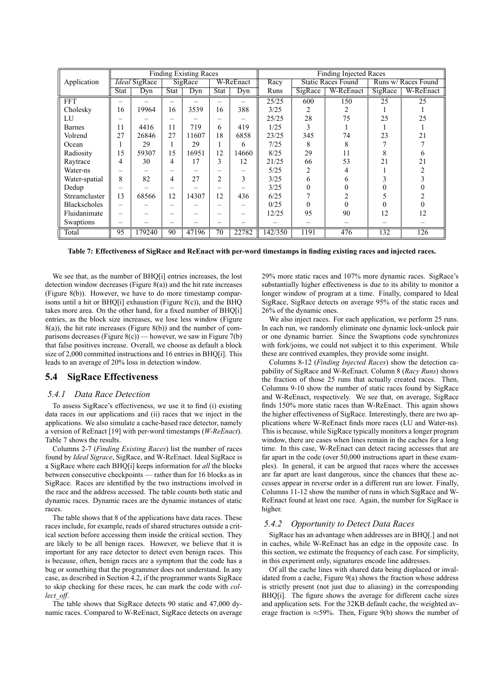|                     | <b>Finding Existing Races</b> |        |             |       |                | <b>Finding Injected Races</b> |         |                           |           |                     |                |
|---------------------|-------------------------------|--------|-------------|-------|----------------|-------------------------------|---------|---------------------------|-----------|---------------------|----------------|
| Application         | <i>Ideal</i> SigRace          |        | SigRace     |       | W-ReEnact      |                               | Racy    | <b>Static Races Found</b> |           | Runs w/ Races Found |                |
|                     | <b>Stat</b>                   | Dyn    | <b>Stat</b> | Dyn   | <b>Stat</b>    | Dyn                           | Runs    | SigRace                   | W-ReEnact | SigRace             | W-ReEnact      |
| <b>FFT</b>          |                               |        |             |       |                |                               | 25/25   | 600                       | 150       | 25                  | 25             |
| Cholesky            | 16                            | 19964  | 16          | 3539  | 16             | 388                           | 3/25    | 2                         |           |                     |                |
| LU                  |                               |        |             |       |                |                               | 25/25   | 28                        | 75        | 25                  | 25             |
| <b>Barnes</b>       | 11                            | 4416   | 11          | 719   | 6              | 419                           | 1/25    | 3                         |           |                     |                |
| Volrend             | 27                            | 26846  | 27          | 11607 | 18             | 6858                          | 23/25   | 345                       | 74        | 23                  | 21             |
| Ocean               |                               | 29     |             | 29    |                | 6                             | 7/25    | 8                         |           |                     |                |
| Radiosity           | 15                            | 59307  | 15          | 16951 | 12             | 14660                         | 8/25    | 29                        | 11        |                     | <sub>b</sub>   |
| Raytrace            | 4                             | 30     | 4           | 17    | 3              | 12                            | 21/25   | 66                        | 53        | 21                  | 21             |
| Water-ns            |                               |        |             |       |                |                               | 5/25    | 2                         |           |                     | $\mathfrak{D}$ |
| Water-spatial       | 8                             | 82     | 4           | 27    | $\overline{2}$ | 3                             | 3/25    | 6                         |           |                     |                |
| Dedup               |                               |        |             |       |                |                               | 3/25    | $\theta$                  |           |                     |                |
| Streamcluster       | 13                            | 68566  | 12          | 14307 | 12             | 436                           | 6/25    |                           |           |                     |                |
| <b>Blackscholes</b> | $\overline{\phantom{0}}$      |        |             |       |                |                               | 0/25    | $\Omega$                  |           |                     |                |
| Fluidanimate        |                               |        |             |       |                |                               | 12/25   | 95                        | 90        | 12                  | 12             |
| Swaptions           |                               |        |             |       |                |                               |         |                           |           |                     |                |
| Total               | 95                            | 179240 | 90          | 47196 | 70             | 22782                         | 142/350 | 1191                      | 476       | 132                 | 126            |

**Table 7: Effectiveness of SigRace and ReEnact with per-word timestamps in finding existing races and injected races.**

We see that, as the number of BHQ[i] entries increases, the lost detection window decreases (Figure 8(a)) and the hit rate increases (Figure 8(b)). However, we have to do more timestamp comparisons until a hit or BHQ[i] exhaustion (Figure 8(c)), and the BHQ takes more area. On the other hand, for a fixed number of BHQ[i] entries, as the block size increases, we lose less window (Figure  $8(a)$ ), the hit rate increases (Figure  $8(b)$ ) and the number of comparisons decreases (Figure 8(c)) — however, we saw in Figure 7(b) that false positives increase. Overall, we choose as default a block size of 2,000 committed instructions and 16 entries in BHQ[i]. This leads to an average of 20% loss in detection window.

### **5.4 SigRace Effectiveness**

#### *5.4.1 Data Race Detection*

To assess SigRace's effectiveness, we use it to find (i) existing data races in our applications and (ii) races that we inject in the applications. We also simulate a cache-based race detector, namely a version of ReEnact [19] with per-word timestamps (*W-ReEnact*). Table 7 shows the results.

Columns 2-7 (*Finding Existing Races*) list the number of races found by *Ideal Sigrace*, SigRace, and W-ReEnact. Ideal SigRace is a SigRace where each BHQ[i] keeps information for *all* the blocks between consecutive checkpoints — rather than for 16 blocks as in SigRace. Races are identified by the two instructions involved in the race and the address accessed. The table counts both static and dynamic races. Dynamic races are the dynamic instances of static races.

The table shows that 8 of the applications have data races. These races include, for example, reads of shared structures outside a critical section before accessing them inside the critical section. They are likely to be all benign races. However, we believe that it is important for any race detector to detect even benign races. This is because, often, benign races are a symptom that the code has a bug or something that the programmer does not understand. In any case, as described in Section 4.2, if the programmer wants SigRace to skip checking for these races, he can mark the code with *collect\_off*.

The table shows that SigRace detects 90 static and 47,000 dynamic races. Compared to W-ReEnact, SigRace detects on average 29% more static races and 107% more dynamic races. SigRace's substantially higher effectiveness is due to its ability to monitor a longer window of program at a time. Finally, compared to Ideal SigRace, SigRace detects on average 95% of the static races and 26% of the dynamic ones.

We also inject races. For each application, we perform 25 runs. In each run, we randomly eliminate one dynamic lock-unlock pair or one dynamic barrier. Since the Swaptions code synchronizes with fork/joins, we could not subject it to this experiment. While these are contrived examples, they provide some insight.

Columns 8-12 (*Finding Injected Races*) show the detection capability of SigRace and W-ReEnact. Column 8 (*Racy Runs*) shows the fraction of those 25 runs that actually created races. Then, Columns 9-10 show the number of static races found by SigRace and W-ReEnact, respectively. We see that, on average, SigRace finds 150% more static races than W-ReEnact. This again shows the higher effectiveness of SigRace. Interestingly, there are two applications where W-ReEnact finds more races (LU and Water-ns). This is because, while SigRace typically monitors a longer program window, there are cases when lines remain in the caches for a long time. In this case, W-ReEnact can detect racing accesses that are far apart in the code (over 50,000 instructions apart in these examples). In general, it can be argued that races where the accesses are far apart are least dangerous, since the chances that these accesses appear in reverse order in a different run are lower. Finally, Columns 11-12 show the number of runs in which SigRace and W-ReEnact found at least one race. Again, the number for SigRace is higher.

### *5.4.2 Opportunity to Detect Data Races*

SigRace has an advantage when addresses are in BHQ[.] and not in caches, while W-ReEnact has an edge in the opposite case. In this section, we estimate the frequency of each case. For simplicity, in this experiment only, signatures encode line addresses.

Of all the cache lines with shared data being displaced or invalidated from a cache, Figure 9(a) shows the fraction whose address is strictly present (not just due to aliasing) in the corresponding BHQ[i]. The figure shows the average for different cache sizes and application sets. For the 32KB default cache, the weighted average fraction is  $\approx$ 59%. Then, Figure 9(b) shows the number of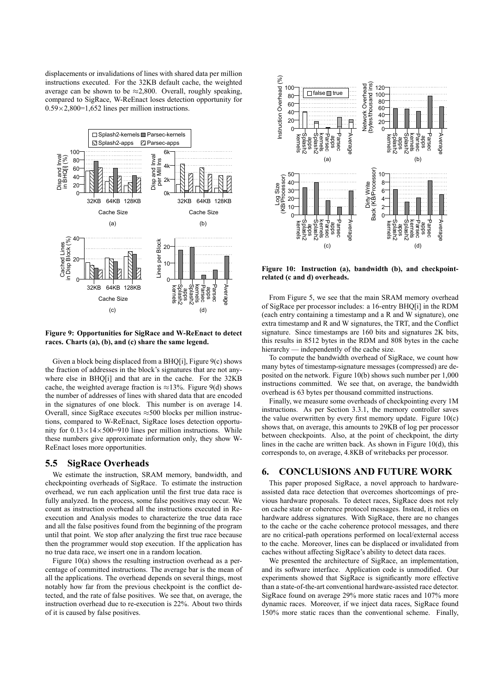displacements or invalidations of lines with shared data per million instructions executed. For the 32KB default cache, the weighted average can be shown to be  $\approx$  2,800. Overall, roughly speaking, compared to SigRace, W-ReEnact loses detection opportunity for  $0.59\times2,800=1,652$  lines per million instructions.



**Figure 9: Opportunities for SigRace and W-ReEnact to detect races. Charts (a), (b), and (c) share the same legend.**

Given a block being displaced from a BHQ[i], Figure 9(c) shows the fraction of addresses in the block's signatures that are not anywhere else in BHQ[i] and that are in the cache. For the 32KB cache, the weighted average fraction is  $\approx$ 13%. Figure 9(d) shows the number of addresses of lines with shared data that are encoded in the signatures of one block. This number is on average 14. Overall, since SigRace executes  $\approx$  500 blocks per million instructions, compared to W-ReEnact, SigRace loses detection opportunity for  $0.13 \times 14 \times 500 = 910$  lines per million instructions. While these numbers give approximate information only, they show W-ReEnact loses more opportunities.

### **5.5 SigRace Overheads**

We estimate the instruction, SRAM memory, bandwidth, and checkpointing overheads of SigRace. To estimate the instruction overhead, we run each application until the first true data race is fully analyzed. In the process, some false positives may occur. We count as instruction overhead all the instructions executed in Reexecution and Analysis modes to characterize the true data race and all the false positives found from the beginning of the program until that point. We stop after analyzing the first true race because then the programmer would stop execution. If the application has no true data race, we insert one in a random location.

Figure 10(a) shows the resulting instruction overhead as a percentage of committed instructions. The average bar is the mean of all the applications. The overhead depends on several things, most notably how far from the previous checkpoint is the conflict detected, and the rate of false positives. We see that, on average, the instruction overhead due to re-execution is 22%. About two thirds of it is caused by false positives.



**Figure 10: Instruction (a), bandwidth (b), and checkpointrelated (c and d) overheads.**

From Figure 5, we see that the main SRAM memory overhead of SigRace per processor includes: a 16-entry BHQ[i] in the RDM (each entry containing a timestamp and a R and W signature), one extra timestamp and R and W signatures, the TRT, and the Conflict signature. Since timestamps are 160 bits and signatures 2K bits, this results in 8512 bytes in the RDM and 808 bytes in the cache hierarchy — independently of the cache size.

To compute the bandwidth overhead of SigRace, we count how many bytes of timestamp-signature messages (compressed) are deposited on the network. Figure 10(b) shows such number per 1,000 instructions committed. We see that, on average, the bandwidth overhead is 63 bytes per thousand committed instructions.

Finally, we measure some overheads of checkpointing every 1M instructions. As per Section 3.3.1, the memory controller saves the value overwritten by every first memory update. Figure  $10(c)$ shows that, on average, this amounts to 29KB of log per processor between checkpoints. Also, at the point of checkpoint, the dirty lines in the cache are written back. As shown in Figure 10(d), this corresponds to, on average, 4.8KB of writebacks per processor.

# **6. CONCLUSIONS AND FUTURE WORK**

This paper proposed SigRace, a novel approach to hardwareassisted data race detection that overcomes shortcomings of previous hardware proposals. To detect races, SigRace does not rely on cache state or coherence protocol messages. Instead, it relies on hardware address signatures. With SigRace, there are no changes to the cache or the cache coherence protocol messages, and there are no critical-path operations performed on local/external access to the cache. Moreover, lines can be displaced or invalidated from caches without affecting SigRace's ability to detect data races.

We presented the architecture of SigRace, an implementation, and its software interface. Application code is unmodified. Our experiments showed that SigRace is signicantly more effective than a state-of-the-art conventional hardware-assisted race detector. SigRace found on average 29% more static races and 107% more dynamic races. Moreover, if we inject data races, SigRace found 150% more static races than the conventional scheme. Finally,